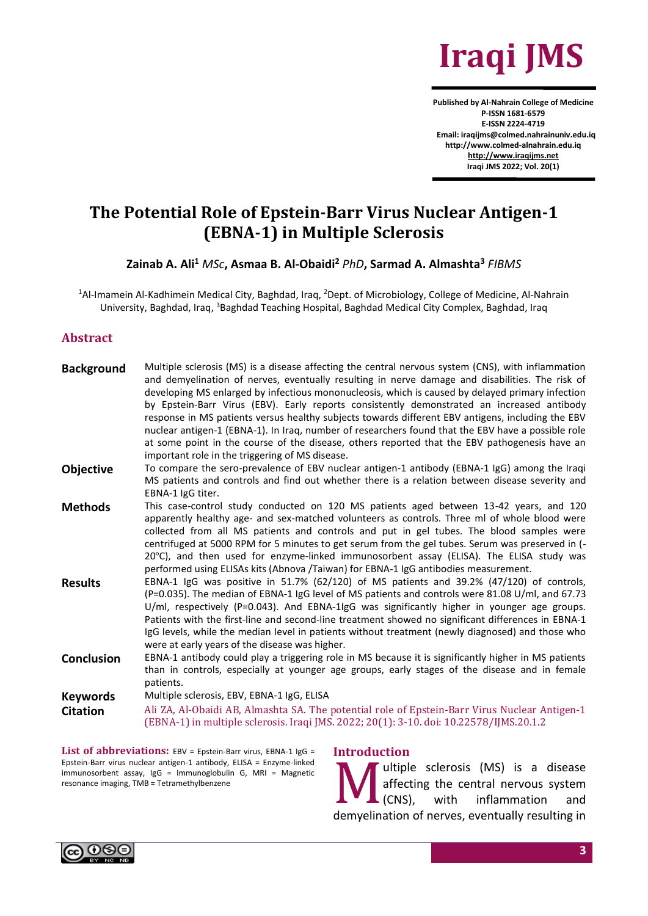

**Published by Al-Nahrain College of Medicine P-ISSN 1681-6579 E-ISSN 2224-4719 Email: iraqijms@colmed.nahrainuniv.edu.iq http://www.colmed-alnahrain.edu.iq [http://www.iraqijms.net](http://www.iraqijms.net/) Iraqi JMS 2022; Vol. 20(1)**

# **The Potential Role of Epstein-Barr Virus Nuclear Antigen-1 (EBNA-1) in Multiple Sclerosis**

**Zainab A. Ali<sup>1</sup>** *MSc***, Asmaa B. Al-Obaidi<sup>2</sup>** *PhD***, Sarmad A. Almashta<sup>3</sup>** *FIBMS*

<sup>1</sup>Al-Imamein Al-Kadhimein Medical City, Baghdad, Iraq, <sup>2</sup>Dept. of Microbiology, College of Medicine, Al-Nahrain University, Baghdad, Iraq, <sup>3</sup>Baghdad Teaching Hospital, Baghdad Medical City Complex, Baghdad, Iraq

#### **Abstract**

| <b>Background</b> | Multiple sclerosis (MS) is a disease affecting the central nervous system (CNS), with inflammation<br>and demyelination of nerves, eventually resulting in nerve damage and disabilities. The risk of<br>developing MS enlarged by infectious mononucleosis, which is caused by delayed primary infection<br>by Epstein-Barr Virus (EBV). Early reports consistently demonstrated an increased antibody<br>response in MS patients versus healthy subjects towards different EBV antigens, including the EBV<br>nuclear antigen-1 (EBNA-1). In Iraq, number of researchers found that the EBV have a possible role<br>at some point in the course of the disease, others reported that the EBV pathogenesis have an<br>important role in the triggering of MS disease. |
|-------------------|------------------------------------------------------------------------------------------------------------------------------------------------------------------------------------------------------------------------------------------------------------------------------------------------------------------------------------------------------------------------------------------------------------------------------------------------------------------------------------------------------------------------------------------------------------------------------------------------------------------------------------------------------------------------------------------------------------------------------------------------------------------------|
| <b>Objective</b>  | To compare the sero-prevalence of EBV nuclear antigen-1 antibody (EBNA-1 IgG) among the Iraqi<br>MS patients and controls and find out whether there is a relation between disease severity and<br>EBNA-1 lgG titer.                                                                                                                                                                                                                                                                                                                                                                                                                                                                                                                                                   |
| <b>Methods</b>    | This case-control study conducted on 120 MS patients aged between 13-42 years, and 120<br>apparently healthy age- and sex-matched volunteers as controls. Three ml of whole blood were<br>collected from all MS patients and controls and put in gel tubes. The blood samples were<br>centrifuged at 5000 RPM for 5 minutes to get serum from the gel tubes. Serum was preserved in (-<br>20°C), and then used for enzyme-linked immunosorbent assay (ELISA). The ELISA study was<br>performed using ELISAs kits (Abnova /Taiwan) for EBNA-1 IgG antibodies measurement.                                                                                                                                                                                               |
| <b>Results</b>    | EBNA-1 IgG was positive in 51.7% (62/120) of MS patients and 39.2% (47/120) of controls,<br>(P=0.035). The median of EBNA-1 IgG level of MS patients and controls were 81.08 U/ml, and 67.73<br>U/ml, respectively (P=0.043). And EBNA-1IgG was significantly higher in younger age groups.<br>Patients with the first-line and second-line treatment showed no significant differences in EBNA-1<br>IgG levels, while the median level in patients without treatment (newly diagnosed) and those who<br>were at early years of the disease was higher.                                                                                                                                                                                                                |
| <b>Conclusion</b> | EBNA-1 antibody could play a triggering role in MS because it is significantly higher in MS patients<br>than in controls, especially at younger age groups, early stages of the disease and in female<br>patients.                                                                                                                                                                                                                                                                                                                                                                                                                                                                                                                                                     |
| <b>Keywords</b>   | Multiple sclerosis, EBV, EBNA-1 IgG, ELISA                                                                                                                                                                                                                                                                                                                                                                                                                                                                                                                                                                                                                                                                                                                             |
| <b>Citation</b>   | Ali ZA, Al-Obaidi AB, Almashta SA. The potential role of Epstein-Barr Virus Nuclear Antigen-1<br>(EBNA-1) in multiple sclerosis. Iraqi JMS. 2022; 20(1): 3-10. doi: 10.22578/IJMS.20.1.2                                                                                                                                                                                                                                                                                                                                                                                                                                                                                                                                                                               |

List of abbreviations: EBV = Epstein-Barr virus, EBNA-1 IgG = Epstein-Barr virus nuclear antigen-1 antibody, ELISA = Enzyme-linked immunosorbent assay, IgG = Immunoglobulin G, MRI = Magnetic resonance imaging, TMB = Tetramethylbenzene

**Introduction**

ultiple sclerosis (MS) is a disease affecting the central nervous system (CNS), with inflammation and demyelination of nerves, eventually resulting in M<sub>small</sub>

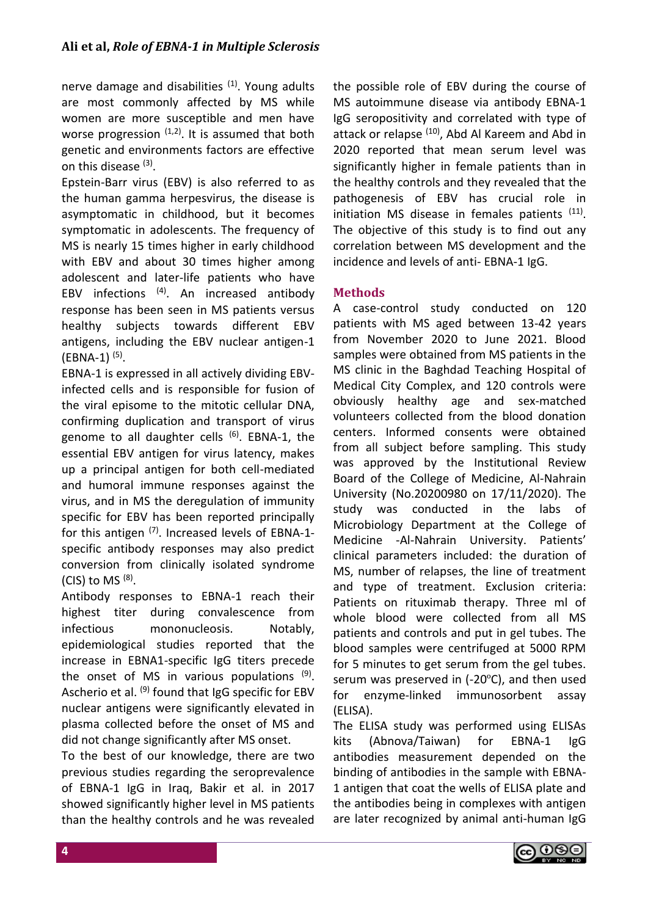nerve damage and disabilities <sup>(1)</sup>. Young adults are most commonly affected by MS while women are more susceptible and men have worse progression  $(1,2)$ . It is assumed that both genetic and environments factors are effective on this disease <sup>(3)</sup>.

Epstein-Barr virus (EBV) is also referred to as the human gamma herpesvirus, the disease is asymptomatic in childhood, but it becomes symptomatic in adolescents. The frequency of MS is nearly 15 times higher in early childhood with EBV and about 30 times higher among adolescent and later-life patients who have EBV infections <sup>(4)</sup>. An increased antibody response has been seen in MS patients versus healthy subjects towards different EBV antigens, including the EBV nuclear antigen-1  $(EBNA-1)$ <sup>(5)</sup>.

EBNA-1 is expressed in all actively dividing EBVinfected cells and is responsible for fusion of the viral episome to the mitotic cellular DNA, confirming duplication and transport of virus genome to all daughter cells  $(6)$ . EBNA-1, the essential EBV antigen for virus latency, makes up a principal antigen for both cell-mediated and humoral immune responses against the virus, and in MS the deregulation of immunity specific for EBV has been reported principally for this antigen  $(7)$ . Increased levels of EBNA-1specific antibody responses may also predict conversion from clinically isolated syndrome (CIS) to MS  $<sup>(8)</sup>$ .</sup>

Antibody responses to EBNA-1 reach their highest titer during convalescence from infectious mononucleosis. Notably, epidemiological studies reported that the increase in EBNA1-specific IgG titers precede the onset of MS in various populations <sup>(9)</sup>. Ascherio et al. (9) found that IgG specific for EBV nuclear antigens were significantly elevated in plasma collected before the onset of MS and did not change significantly after MS onset.

To the best of our knowledge, there are two previous studies regarding the seroprevalence of EBNA-1 IgG in Iraq, Bakir et al. in 2017 showed significantly higher level in MS patients than the healthy controls and he was revealed the possible role of EBV during the course of MS autoimmune disease via antibody EBNA-1 IgG seropositivity and correlated with type of attack or relapse <sup>(10)</sup>, Abd Al Kareem and Abd in 2020 reported that mean serum level was significantly higher in female patients than in the healthy controls and they revealed that the pathogenesis of EBV has crucial role in initiation MS disease in females patients <sup>(11)</sup>. The objective of this study is to find out any correlation between MS development and the incidence and levels of anti- EBNA-1 IgG.

## **Methods**

A case-control study conducted on 120 patients with MS aged between 13-42 years from November 2020 to June 2021. Blood samples were obtained from MS patients in the MS clinic in the Baghdad Teaching Hospital of Medical City Complex, and 120 controls were obviously healthy age and sex-matched volunteers collected from the blood donation centers. Informed consents were obtained from all subject before sampling. This study was approved by the Institutional Review Board of the College of Medicine, Al-Nahrain University (No.20200980 on 17/11/2020). The study was conducted in the labs of Microbiology Department at the College of Medicine -Al-Nahrain University. Patients' clinical parameters included: the duration of MS, number of relapses, the line of treatment and type of treatment. Exclusion criteria: Patients on rituximab therapy. Three ml of whole blood were collected from all MS patients and controls and put in gel tubes. The blood samples were centrifuged at 5000 RPM for 5 minutes to get serum from the gel tubes. serum was preserved in (-20ºC), and then used for enzyme-linked immunosorbent assay (ELISA).

The ELISA study was performed using ELISAs kits (Abnova/Taiwan) for EBNA-1 IgG antibodies measurement depended on the binding of antibodies in the sample with EBNA-1 antigen that coat the wells of ELISA plate and the antibodies being in complexes with antigen are later recognized by animal anti-human IgG

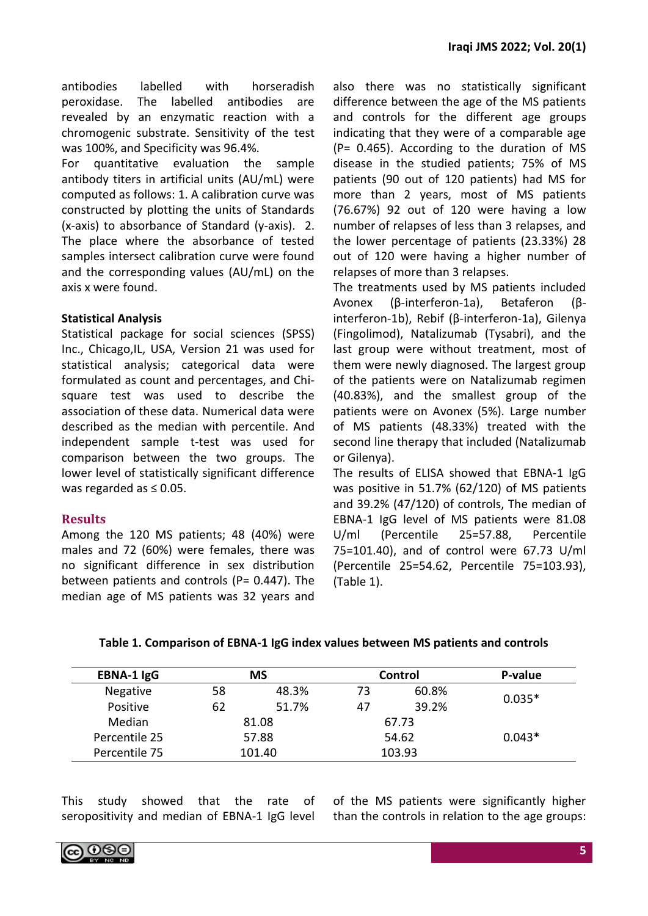antibodies labelled with horseradish peroxidase. The labelled antibodies are revealed by an enzymatic reaction with a chromogenic substrate. Sensitivity of the test was 100%, and Specificity was 96.4%.

For quantitative evaluation the sample antibody titers in artificial units (AU/mL) were computed as follows: 1. A calibration curve was constructed by plotting the units of Standards (x-axis) to absorbance of Standard (y-axis). 2. The place where the absorbance of tested samples intersect calibration curve were found and the corresponding values (AU/mL) on the axis x were found.

## **Statistical Analysis**

Statistical package for social sciences (SPSS) Inc., Chicago,IL, USA, Version 21 was used for statistical analysis; categorical data were formulated as count and percentages, and Chisquare test was used to describe the association of these data. Numerical data were described as the median with percentile. And independent sample t-test was used for comparison between the two groups. The lower level of statistically significant difference was regarded as  $\leq 0.05$ .

## **Results**

Among the 120 MS patients; 48 (40%) were males and 72 (60%) were females, there was no significant difference in sex distribution between patients and controls ( $P= 0.447$ ). The median age of MS patients was 32 years and also there was no statistically significant difference between the age of the MS patients and controls for the different age groups indicating that they were of a comparable age (P= 0.465). According to the duration of MS disease in the studied patients; 75% of MS patients (90 out of 120 patients) had MS for more than 2 years, most of MS patients (76.67%) 92 out of 120 were having a low number of relapses of less than 3 relapses, and the lower percentage of patients (23.33%) 28 out of 120 were having a higher number of relapses of more than 3 relapses.

The treatments used by MS patients included Avonex (β-interferon-1a), Betaferon (βinterferon-1b), Rebif (β-interferon-1a), Gilenya (Fingolimod), Natalizumab (Tysabri), and the last group were without treatment, most of them were newly diagnosed. The largest group of the patients were on Natalizumab regimen (40.83%), and the smallest group of the patients were on Avonex (5%). Large number of MS patients (48.33%) treated with the second line therapy that included (Natalizumab or Gilenya).

The results of ELISA showed that EBNA-1 IgG was positive in 51.7% (62/120) of MS patients and 39.2% (47/120) of controls, The median of EBNA-1 IgG level of MS patients were 81.08 U/ml (Percentile 25=57.88, Percentile 75=101.40), and of control were 67.73 U/ml (Percentile 25=54.62, Percentile 75=103.93), (Table 1).

| Table 1. Comparison of EBNA-1 IgG index values between MS patients and controls |  |  |
|---------------------------------------------------------------------------------|--|--|
|---------------------------------------------------------------------------------|--|--|

| <b>EBNA-1 IgG</b> | <b>MS</b>   |       | Control |       | P-value  |
|-------------------|-------------|-------|---------|-------|----------|
| Negative          | 58<br>48.3% |       | 73      | 60.8% | $0.035*$ |
| Positive          | 62          | 51.7% | 47      | 39.2% |          |
| Median            | 81.08       |       |         | 67.73 |          |
| Percentile 25     | 57.88       |       | 54.62   |       | $0.043*$ |
| Percentile 75     | 101.40      |       | 103.93  |       |          |

This study showed that the rate of seropositivity and median of EBNA-1 IgG level of the MS patients were significantly higher than the controls in relation to the age groups:

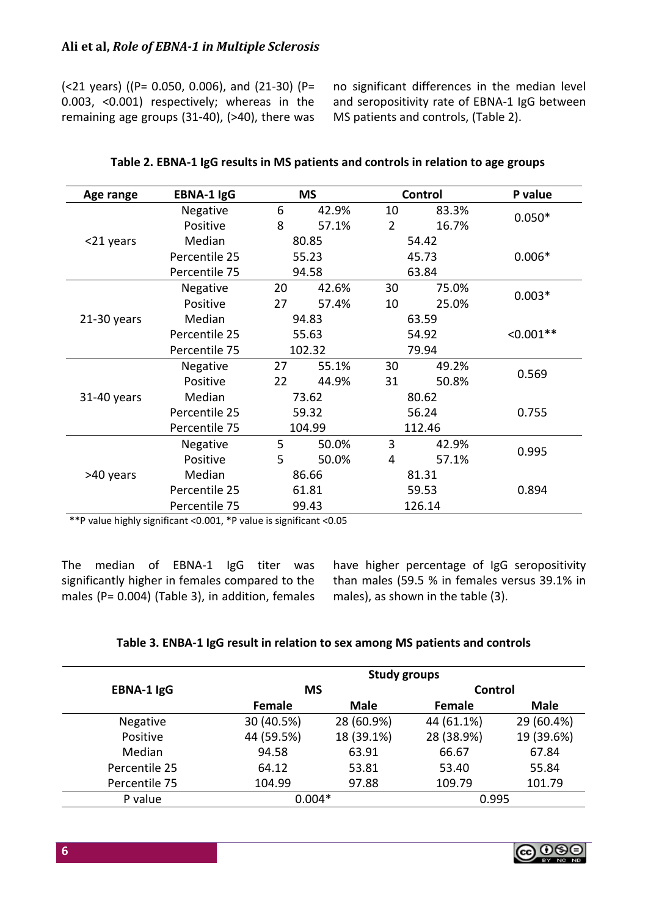(<21 years) ((P= 0.050, 0.006), and (21-30) (P= 0.003, <0.001) respectively; whereas in the remaining age groups (31-40), (>40), there was no significant differences in the median level and seropositivity rate of EBNA-1 IgG between MS patients and controls, (Table 2).

| Age range     | <b>EBNA-1 IgG</b> |        | <b>MS</b> | Control        |        | P value     |
|---------------|-------------------|--------|-----------|----------------|--------|-------------|
|               | Negative          | 6      | 42.9%     | 10             | 83.3%  | $0.050*$    |
|               | Positive          | 8      | 57.1%     | $\overline{2}$ | 16.7%  |             |
| <21 years     | Median            | 80.85  |           | 54.42          |        |             |
|               | Percentile 25     |        | 55.23     | 45.73          |        | $0.006*$    |
|               | Percentile 75     |        | 94.58     | 63.84          |        |             |
|               | Negative          | 20     | 42.6%     | 30             | 75.0%  | $0.003*$    |
|               | Positive          | 27     | 57.4%     | 10             | 25.0%  |             |
| $21-30$ years | Median            | 94.83  |           | 63.59          |        | $< 0.001**$ |
|               | Percentile 25     | 55.63  |           | 54.92          |        |             |
|               | Percentile 75     | 102.32 |           | 79.94          |        |             |
|               | <b>Negative</b>   | 27     | 55.1%     | 30             | 49.2%  | 0.569       |
|               | Positive          | 22     | 44.9%     | 31             | 50.8%  |             |
| 31-40 years   | Median            | 73.62  |           | 80.62          |        |             |
|               | Percentile 25     | 59.32  |           | 56.24          |        | 0.755       |
|               | Percentile 75     | 104.99 |           | 112.46         |        |             |
|               | Negative          | 5      | 50.0%     | 3              | 42.9%  | 0.995       |
|               | Positive          | 5      | 50.0%     | 4              | 57.1%  |             |
| >40 years     | Median            | 86.66  |           | 81.31          |        |             |
|               | Percentile 25     | 61.81  |           | 59.53          |        | 0.894       |
|               | Percentile 75     |        | 99.43     |                | 126.14 |             |

#### **Table 2. EBNA-1 IgG results in MS patients and controls in relation to age groups**

\*\*P value highly significant <0.001, \*P value is significant <0.05

The median of EBNA-1 IgG titer was significantly higher in females compared to the males (P= 0.004) (Table 3), in addition, females have higher percentage of IgG seropositivity than males (59.5 % in females versus 39.1% in males), as shown in the table (3).

|                   |            | <b>Study groups</b> |            |             |
|-------------------|------------|---------------------|------------|-------------|
| <b>EBNA-1 IgG</b> | <b>MS</b>  |                     | Control    |             |
|                   | Female     | <b>Male</b>         | Female     | <b>Male</b> |
| Negative          | 30 (40.5%) | 28 (60.9%)          | 44 (61.1%) | 29 (60.4%)  |
| Positive          | 44 (59.5%) | 18 (39.1%)          | 28 (38.9%) | 19 (39.6%)  |
| Median            | 94.58      | 63.91               | 66.67      | 67.84       |
| Percentile 25     | 64.12      | 53.81               | 53.40      | 55.84       |
| Percentile 75     | 104.99     | 97.88               | 109.79     | 101.79      |
| P value           | $0.004*$   |                     | 0.995      |             |

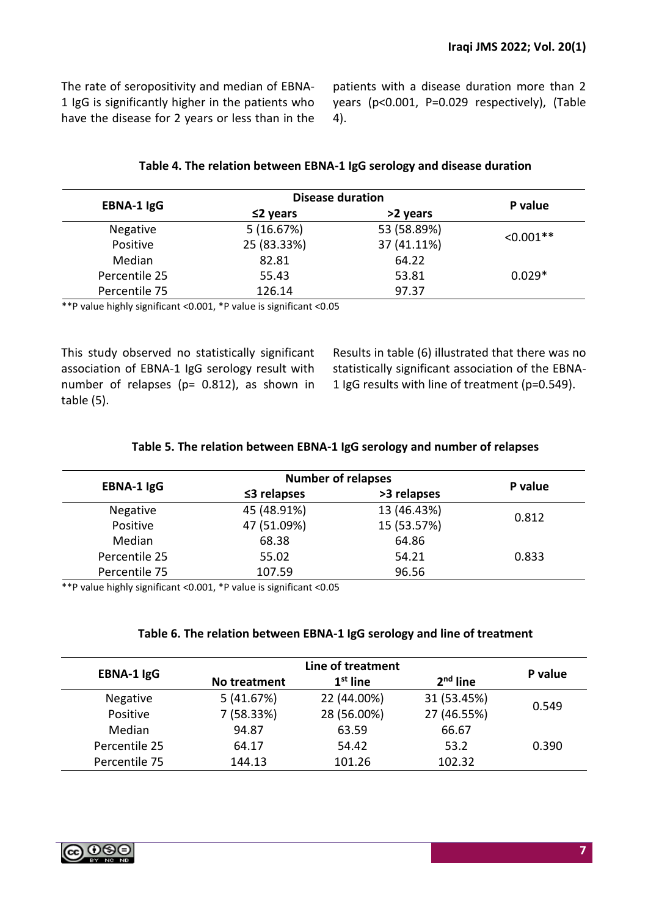The rate of seropositivity and median of EBNA-1 IgG is significantly higher in the patients who have the disease for 2 years or less than in the patients with a disease duration more than 2 years (p<0.001, P=0.029 respectively), (Table 4).

| Table 4. The relation between EBNA-1 IgG serology and disease duration |  |
|------------------------------------------------------------------------|--|
|------------------------------------------------------------------------|--|

|                   | <b>Disease duration</b> | P value     |             |
|-------------------|-------------------------|-------------|-------------|
| <b>EBNA-1 IgG</b> | $\leq$ 2 years          | >2 years    |             |
| <b>Negative</b>   | 5(16.67%)               | 53 (58.89%) |             |
| Positive          | 25 (83.33%)             | 37 (41.11%) | $< 0.001**$ |
| Median            | 82.81                   | 64.22       |             |
| Percentile 25     | 55.43                   | 53.81       | $0.029*$    |
| Percentile 75     | 126.14                  | 97.37       |             |

\*\*P value highly significant <0.001, \*P value is significant <0.05

This study observed no statistically significant association of EBNA-1 IgG serology result with number of relapses (p= 0.812), as shown in table (5).

Results in table (6) illustrated that there was no statistically significant association of the EBNA-1 IgG results with line of treatment (p=0.549).

## **Table 5. The relation between EBNA-1 IgG serology and number of relapses**

|                 | <b>Number of relapses</b> |             |         |  |
|-----------------|---------------------------|-------------|---------|--|
| EBNA-1 IgG      | $\leq$ 3 relapses         | >3 relapses | P value |  |
| <b>Negative</b> | 45 (48.91%)               | 13 (46.43%) |         |  |
| Positive        | 47 (51.09%)               | 15 (53.57%) | 0.812   |  |
| Median          | 68.38                     | 64.86       |         |  |
| Percentile 25   | 55.02                     | 54.21       | 0.833   |  |
| Percentile 75   | 107.59                    | 96.56       |         |  |

\*\*P value highly significant <0.001, \*P value is significant <0.05

### **Table 6. The relation between EBNA-1 IgG serology and line of treatment**

| EBNA-1 IgG    | No treatment | $1st$ line  | 2 <sup>nd</sup> line | P value |  |
|---------------|--------------|-------------|----------------------|---------|--|
| Negative      | 5(41.67%)    | 22 (44.00%) | 31 (53.45%)          |         |  |
| Positive      | 7 (58.33%)   | 28 (56.00%) | 27 (46.55%)          | 0.549   |  |
| Median        | 94.87        | 63.59       | 66.67                |         |  |
| Percentile 25 | 64.17        | 54.42       | 53.2                 | 0.390   |  |
| Percentile 75 | 144.13       | 101.26      | 102.32               |         |  |

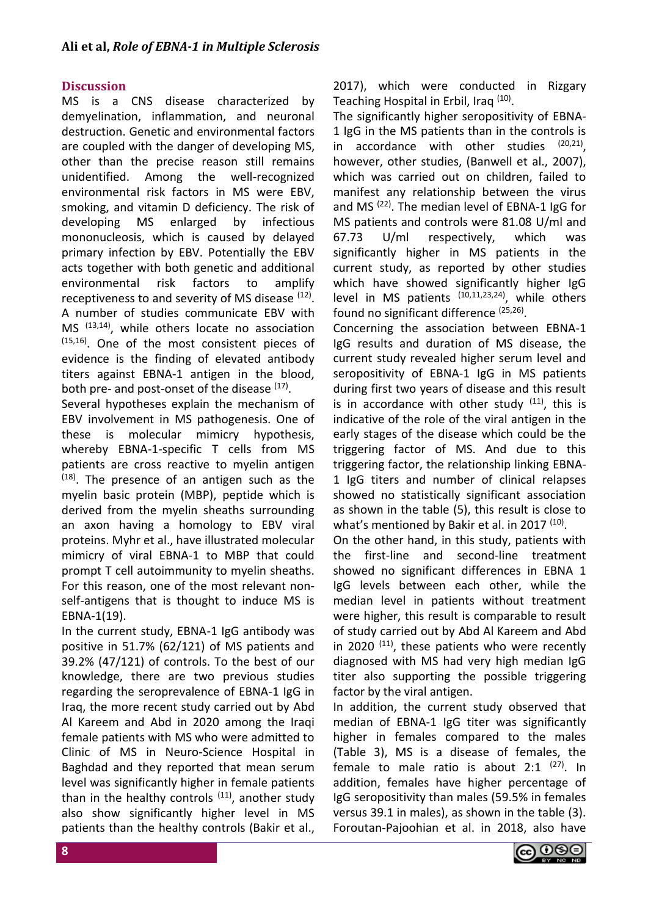## **Discussion**

MS is a CNS disease characterized by demyelination, inflammation, and neuronal destruction. Genetic and environmental factors are coupled with the danger of developing MS, other than the precise reason still remains unidentified. Among the well-recognized environmental risk factors in MS were EBV, smoking, and vitamin D deficiency. The risk of developing MS enlarged by infectious mononucleosis, which is caused by delayed primary infection by EBV. Potentially the EBV acts together with both genetic and additional environmental risk factors to amplify receptiveness to and severity of MS disease <sup>(12)</sup>. A number of studies communicate EBV with MS (13,14), while others locate no association  $(15,16)$ . One of the most consistent pieces of evidence is the finding of elevated antibody titers against EBNA-1 antigen in the blood, both pre- and post-onset of the disease <sup>(17)</sup>.

Several hypotheses explain the mechanism of EBV involvement in MS pathogenesis. One of these is molecular mimicry hypothesis, whereby EBNA-1-specific T cells from MS patients are cross reactive to myelin antigen  $(18)$ . The presence of an antigen such as the myelin basic protein (MBP), peptide which is derived from the myelin sheaths surrounding an axon having a homology to EBV viral proteins. Myhr et al., have illustrated molecular mimicry of viral EBNA-1 to MBP that could prompt T cell autoimmunity to myelin sheaths. For this reason, one of the most relevant nonself-antigens that is thought to induce MS is EBNA-1(19).

In the current study, EBNA-1 IgG antibody was positive in 51.7% (62/121) of MS patients and 39.2% (47/121) of controls. To the best of our knowledge, there are two previous studies regarding the seroprevalence of EBNA-1 IgG in Iraq, the more recent study carried out by Abd Al Kareem and Abd in 2020 among the Iraqi female patients with MS who were admitted to Clinic of MS in Neuro-Science Hospital in Baghdad and they reported that mean serum level was significantly higher in female patients than in the healthy controls  $(11)$ , another study also show significantly higher level in MS patients than the healthy controls (Bakir et al., 2017), which were conducted in Rizgary Teaching Hospital in Erbil, Iraq<sup>(10)</sup>.

The significantly higher seropositivity of EBNA-1 IgG in the MS patients than in the controls is in accordance with other studies  $(20,21)$ , however, other studies, (Banwell et al., 2007), which was carried out on children, failed to manifest any relationship between the virus and MS<sup>(22)</sup>. The median level of EBNA-1 IgG for MS patients and controls were 81.08 U/ml and 67.73 U/ml respectively, which was significantly higher in MS patients in the current study, as reported by other studies which have showed significantly higher IgG level in MS patients  $(10,11,23,24)$ , while others found no significant difference <sup>(25,26)</sup>.

Concerning the association between EBNA-1 IgG results and duration of MS disease, the current study revealed higher serum level and seropositivity of EBNA-1 IgG in MS patients during first two years of disease and this result is in accordance with other study  $(11)$ , this is indicative of the role of the viral antigen in the early stages of the disease which could be the triggering factor of MS. And due to this triggering factor, the relationship linking EBNA-1 IgG titers and number of clinical relapses showed no statistically significant association as shown in the table (5), this result is close to what's mentioned by Bakir et al. in 2017  $(10)$ .

On the other hand, in this study, patients with the first-line and second-line treatment showed no significant differences in EBNA 1 IgG levels between each other, while the median level in patients without treatment were higher, this result is comparable to result of study carried out by Abd Al Kareem and Abd in 2020  $(11)$ , these patients who were recently diagnosed with MS had very high median IgG titer also supporting the possible triggering factor by the viral antigen.

In addition, the current study observed that median of EBNA-1 IgG titer was significantly higher in females compared to the males (Table 3), MS is a disease of females, the female to male ratio is about  $2:1^{(27)}$ . In addition, females have higher percentage of IgG seropositivity than males (59.5% in females versus 39.1 in males), as shown in the table (3). Foroutan-Pajoohian et al. in 2018, also have

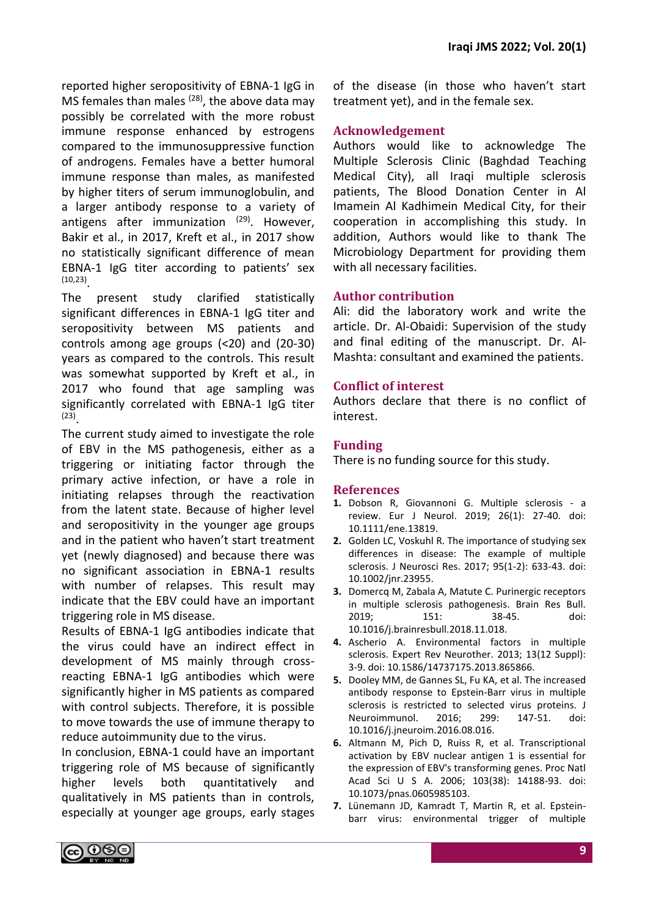reported higher seropositivity of EBNA-1 IgG in MS females than males  $(28)$ , the above data may possibly be correlated with the more robust immune response enhanced by estrogens compared to the immunosuppressive function of androgens. Females have a better humoral immune response than males, as manifested by higher titers of serum immunoglobulin, and a larger antibody response to a variety of antigens after immunization  $(29)$ . However, Bakir et al., in 2017, Kreft et al., in 2017 show no statistically significant difference of mean EBNA-1 IgG titer according to patients' sex (10,23) .

The present study clarified statistically significant differences in EBNA-1 IgG titer and seropositivity between MS patients and controls among age groups (<20) and (20-30) years as compared to the controls. This result was somewhat supported by Kreft et al., in 2017 who found that age sampling was significantly correlated with EBNA-1 IgG titer (23) .

The current study aimed to investigate the role of EBV in the MS pathogenesis, either as a triggering or initiating factor through the primary active infection, or have a role in initiating relapses through the reactivation from the latent state. Because of higher level and seropositivity in the younger age groups and in the patient who haven't start treatment yet (newly diagnosed) and because there was no significant association in EBNA-1 results with number of relapses. This result may indicate that the EBV could have an important triggering role in MS disease.

Results of EBNA-1 IgG antibodies indicate that the virus could have an indirect effect in development of MS mainly through crossreacting EBNA-1 IgG antibodies which were significantly higher in MS patients as compared with control subjects. Therefore, it is possible to move towards the use of immune therapy to reduce autoimmunity due to the virus.

In conclusion, EBNA-1 could have an important triggering role of MS because of significantly higher levels both quantitatively and qualitatively in MS patients than in controls, especially at younger age groups, early stages of the disease (in those who haven't start treatment yet), and in the female sex.

## **Acknowledgement**

Authors would like to acknowledge The Multiple Sclerosis Clinic (Baghdad Teaching Medical City), all Iraqi multiple sclerosis patients, The Blood Donation Center in Al Imamein Al Kadhimein Medical City, for their cooperation in accomplishing this study. In addition, Authors would like to thank The Microbiology Department for providing them with all necessary facilities.

## **Author contribution**

Ali: did the laboratory work and write the article. Dr. Al-Obaidi: Supervision of the study and final editing of the manuscript. Dr. Al-Mashta: consultant and examined the patients.

## **Conflict of interest**

Authors declare that there is no conflict of interest.

## **Funding**

There is no funding source for this study.

### **References**

- **1.** Dobson R, Giovannoni G. Multiple sclerosis a review. Eur J Neurol. 2019; 26(1): 27-40. doi: 10.1111/ene.13819.
- **2.** Golden LC, Voskuhl R. The importance of studying sex differences in disease: The example of multiple sclerosis. J Neurosci Res. 2017; 95(1-2): 633-43. doi: 10.1002/jnr.23955.
- **3.** Domercq M, Zabala A, Matute C. Purinergic receptors in multiple sclerosis pathogenesis. Brain Res Bull. 2019; 151: 38-45. doi: 10.1016/j.brainresbull.2018.11.018.
- **4.** Ascherio A. Environmental factors in multiple sclerosis. Expert Rev Neurother. 2013; 13(12 Suppl): 3-9. doi: 10.1586/14737175.2013.865866.
- **5.** Dooley MM, de Gannes SL, Fu KA, et al. The increased antibody response to Epstein-Barr virus in multiple sclerosis is restricted to selected virus proteins. J Neuroimmunol. 2016; 299: 147-51. doi: 10.1016/j.jneuroim.2016.08.016.
- **6.** Altmann M, Pich D, Ruiss R, et al. Transcriptional activation by EBV nuclear antigen 1 is essential for the expression of EBV's transforming genes. Proc Natl Acad Sci U S A. 2006; 103(38): 14188-93. doi: 10.1073/pnas.0605985103.
- **7.** Lünemann JD, Kamradt T, Martin R, et al. Epsteinbarr virus: environmental trigger of multiple